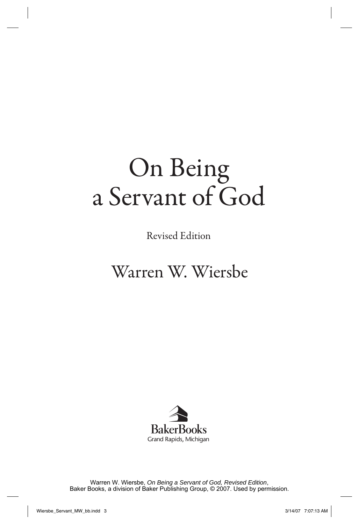## On Being a Servant of God

Revised Edition

## Warren W. Wiersbe



Warren W. Wiersbe, *On Being a Servant of God, Revised Edition*, Baker Books, a division of Baker Publishing Group, © 2007. Used by permission.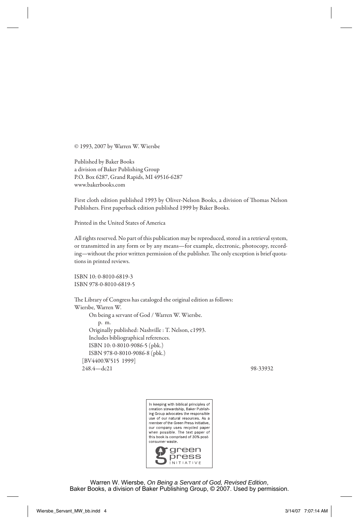© 1993, 2007 by Warren W. Wiersbe

Published by Baker Books a division of Baker Publishing Group P.O. Box 6287, Grand Rapids, MI 49516-6287 www.bakerbooks.com

First cloth edition published 1993 by Oliver-Nelson Books, a division of Thomas Nelson Publishers. First paperback edition published 1999 by Baker Books.

Printed in the United States of America

All rights reserved. No part of this publication may be reproduced, stored in a retrieval system, or transmitted in any form or by any means—for example, electronic, photocopy, recording—without the prior written permission of the publisher. The only exception is brief quotations in printed reviews.

ISBN 10: 0-8010-6819-3 ISBN 978-0-8010-6819-5

The Library of Congress has cataloged the original edition as follows: Wiersbe, Warren W. On being a servant of God / Warren W. Wiersbe. p. m. Originally published: Nashville : T. Nelson, c1993. Includes bibliographical references. ISBN 10: 0-8010-9086-5 (pbk.) ISBN 978-0-8010-9086-8 (pbk.) [BV4400.W515 1999] 248.4—dc21 98-33932



Warren W. Wiersbe, *On Being a Servant of God, Revised Edition*, Baker Books, a division of Baker Publishing Group, © 2007. Used by permission.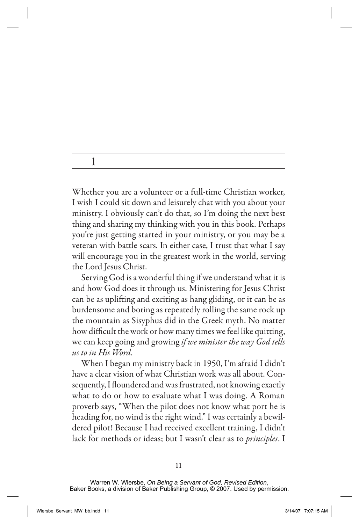|  |  | ×   |
|--|--|-----|
|  |  |     |
|  |  | - - |

Whether you are a volunteer or a full-time Christian worker, I wish I could sit down and leisurely chat with you about your ministry. I obviously can't do that, so I'm doing the next best thing and sharing my thinking with you in this book. Perhaps you're just getting started in your ministry, or you may be a veteran with battle scars. In either case, I trust that what I say will encourage you in the greatest work in the world, serving the Lord Jesus Christ.

Serving God is a wonderful thing if we understand what it is and how God does it through us. Ministering for Jesus Christ can be as uplifting and exciting as hang gliding, or it can be as burdensome and boring as repeatedly rolling the same rock up the mountain as Sisyphus did in the Greek myth. No matter how difficult the work or how many times we feel like quitting, we can keep going and growing *if we minister the way God tells us to in His Word*.

When I began my ministry back in 1950, I'm afraid I didn't have a clear vision of what Christian work was all about. Consequently, I floundered and was frustrated, not knowing exactly what to do or how to evaluate what I was doing. A Roman proverb says, "When the pilot does not know what port he is heading for, no wind is the right wind." I was certainly a bewildered pilot! Because I had received excellent training, I didn't lack for methods or ideas; but I wasn't clear as to *principles*. I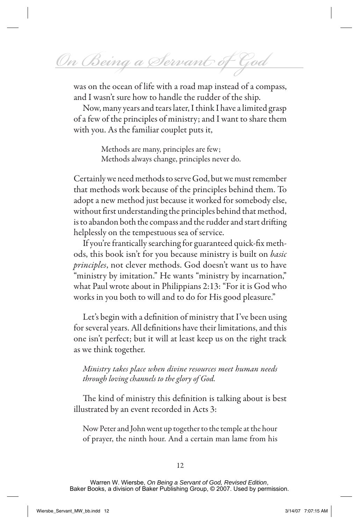was on the ocean of life with a road map instead of a compass, and I wasn't sure how to handle the rudder of the ship.

Now, many years and tears later, I think I have a limited grasp of a few of the principles of ministry; and I want to share them with you. As the familiar couplet puts it,

> Methods are many, principles are few; Methods always change, principles never do.

Certainly we need methods to serve God, but we must remember that methods work because of the principles behind them. To adopt a new method just because it worked for somebody else, without first understanding the principles behind that method, is to abandon both the compass and the rudder and start drifting helplessly on the tempestuous sea of service.

If you're frantically searching for guaranteed quick-fix methods, this book isn't for you because ministry is built on *basic principles*, not clever methods. God doesn't want us to have "ministry by imitation." He wants "ministry by incarnation," what Paul wrote about in Philippians 2:13: "For it is God who works in you both to will and to do for His good pleasure."

Let's begin with a definition of ministry that I've been using for several years. All definitions have their limitations, and this one isn't perfect; but it will at least keep us on the right track as we think together.

## *Ministry takes place when divine resources meet human needs through loving channels to the glory of God.*

The kind of ministry this definition is talking about is best illustrated by an event recorded in Acts 3:

Now Peter and John went up together to the temple at the hour of prayer, the ninth hour. And a certain man lame from his

Warren W. Wiersbe, *On Being a Servant of God, Revised Edition*, Baker Books, a division of Baker Publishing Group, © 2007. Used by permission.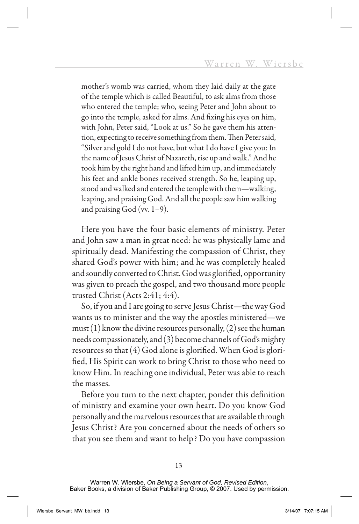mother's womb was carried, whom they laid daily at the gate of the temple which is called Beautiful, to ask alms from those who entered the temple; who, seeing Peter and John about to go into the temple, asked for alms. And fixing his eyes on him, with John, Peter said, "Look at us." So he gave them his attention, expecting to receive something from them. Then Peter said, "Silver and gold I do not have, but what I do have I give you: In the name of Jesus Christ of Nazareth, rise up and walk." And he took him by the right hand and lifted him up, and immediately his feet and ankle bones received strength. So he, leaping up, stood and walked and entered the temple with them—walking, leaping, and praising God. And all the people saw him walking and praising God (vv. 1–9).

Here you have the four basic elements of ministry. Peter and John saw a man in great need: he was physically lame and spiritually dead. Manifesting the compassion of Christ, they shared God's power with him; and he was completely healed and soundly converted to Christ. God was glorified, opportunity was given to preach the gospel, and two thousand more people trusted Christ (Acts 2:41; 4:4).

So, if you and I are going to serve Jesus Christ—the way God wants us to minister and the way the apostles ministered—we must (1) know the divine resources personally, (2) see the human needs compassionately, and (3) become channels of God's mighty resources so that (4) God alone is glorified. When God is glorified, His Spirit can work to bring Christ to those who need to know Him. In reaching one individual, Peter was able to reach the masses.

Before you turn to the next chapter, ponder this definition of ministry and examine your own heart. Do you know God personally and the marvelous resources that are available through Jesus Christ? Are you concerned about the needs of others so that you see them and want to help? Do you have compassion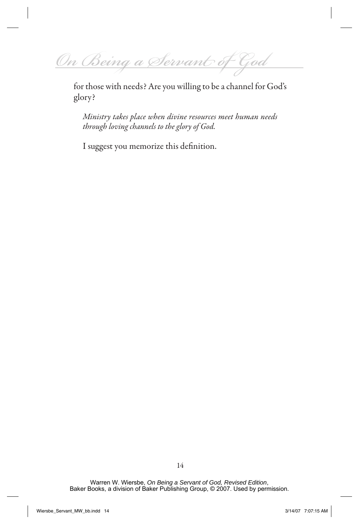*On Being a Servant of God*

for those with needs? Are you willing to be a channel for God's glory?

*Ministry takes place when divine resources meet human needs through loving channels to the glory of God.*

I suggest you memorize this definition.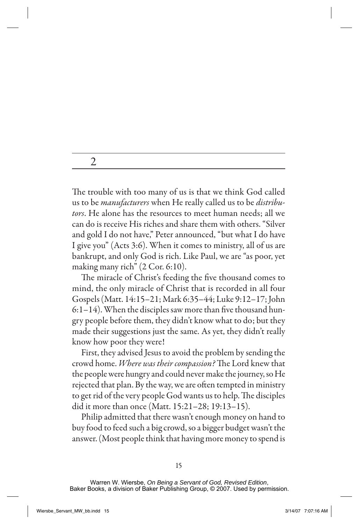2

The trouble with too many of us is that we think God called us to be *manufacturers* when He really called us to be *distributors*. He alone has the resources to meet human needs; all we can do is receive His riches and share them with others. "Silver and gold I do not have," Peter announced, "but what I do have I give you" (Acts 3:6). When it comes to ministry, all of us are bankrupt, and only God is rich. Like Paul, we are "as poor, yet making many rich" (2 Cor. 6:10).

The miracle of Christ's feeding the five thousand comes to mind, the only miracle of Christ that is recorded in all four Gospels (Matt. 14:15–21; Mark 6:35–44; Luke 9:12–17; John 6:1–14). When the disciples saw more than five thousand hungry people before them, they didn't know what to do; but they made their suggestions just the same. As yet, they didn't really know how poor they were!

First, they advised Jesus to avoid the problem by sending the crowd home. *Where was their compassion?* The Lord knew that the people were hungry and could never make the journey, so He rejected that plan. By the way, we are often tempted in ministry to get rid of the very people God wants us to help. The disciples did it more than once (Matt. 15:21–28; 19:13–15).

Philip admitted that there wasn't enough money on hand to buy food to feed such a big crowd, so a bigger budget wasn't the answer. (Most people think that having more money to spend is

Warren W. Wiersbe, *On Being a Servant of God, Revised Edition*, Baker Books, a division of Baker Publishing Group, © 2007. Used by permission.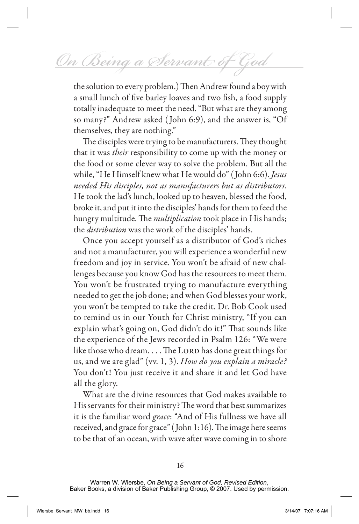the solution to every problem.) Then Andrew found a boy with a small lunch of five barley loaves and two fish, a food supply totally inadequate to meet the need. "But what are they among so many?" Andrew asked ( John 6:9), and the answer is, "Of themselves, they are nothing."

The disciples were trying to be manufacturers. They thought that it was *their* responsibility to come up with the money or the food or some clever way to solve the problem. But all the while, "He Himself knew what He would do" ( John 6:6). *Jesus needed His disciples, not as manufacturers but as distributors.* He took the lad's lunch, looked up to heaven, blessed the food, broke it, and put it into the disciples' hands for them to feed the hungry multitude. The *multiplication* took place in His hands; the *distribution* was the work of the disciples' hands.

Once you accept yourself as a distributor of God's riches and not a manufacturer, you will experience a wonderful new freedom and joy in service. You won't be afraid of new challenges because you know God has the resources to meet them. You won't be frustrated trying to manufacture everything needed to get the job done; and when God blesses your work, you won't be tempted to take the credit. Dr. Bob Cook used to remind us in our Youth for Christ ministry, "If you can explain what's going on, God didn't do it!" That sounds like the experience of the Jews recorded in Psalm 126: "We were like those who dream.... The LORD has done great things for us, and we are glad" (vv. 1, 3). *How do you explain a miracle?* You don't! You just receive it and share it and let God have all the glory.

What are the divine resources that God makes available to His servants for their ministry? The word that best summarizes it is the familiar word *grace*: "And of His fullness we have all received, and grace for grace" ( John 1:16). The image here seems to be that of an ocean, with wave after wave coming in to shore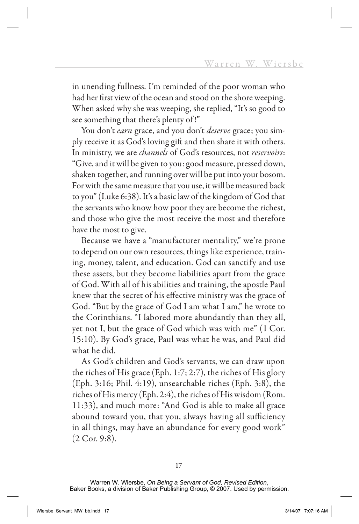in unending fullness. I'm reminded of the poor woman who had her first view of the ocean and stood on the shore weeping. When asked why she was weeping, she replied, "It's so good to see something that there's plenty of !"

You don't *earn* grace, and you don't *deserve* grace; you simply receive it as God's loving gift and then share it with others. In ministry, we are *channels* of God's resources, not *reservoirs*: "Give, and it will be given to you: good measure, pressed down, shaken together, and running over will be put into your bosom. For with the same measure that you use, it will be measured back to you" (Luke 6:38). It's a basic law of the kingdom of God that the servants who know how poor they are become the richest, and those who give the most receive the most and therefore have the most to give.

Because we have a "manufacturer mentality," we're prone to depend on our own resources, things like experience, training, money, talent, and education. God can sanctify and use these assets, but they become liabilities apart from the grace of God. With all of his abilities and training, the apostle Paul knew that the secret of his effective ministry was the grace of God. "But by the grace of God I am what I am," he wrote to the Corinthians. "I labored more abundantly than they all, yet not I, but the grace of God which was with me" (1 Cor. 15:10). By God's grace, Paul was what he was, and Paul did what he did.

As God's children and God's servants, we can draw upon the riches of His grace (Eph. 1:7; 2:7), the riches of His glory (Eph. 3:16; Phil. 4:19), unsearchable riches (Eph. 3:8), the riches of His mercy (Eph. 2:4), the riches of His wisdom (Rom. 11:33), and much more: "And God is able to make all grace abound toward you, that you, always having all sufficiency in all things, may have an abundance for every good work" (2 Cor. 9:8).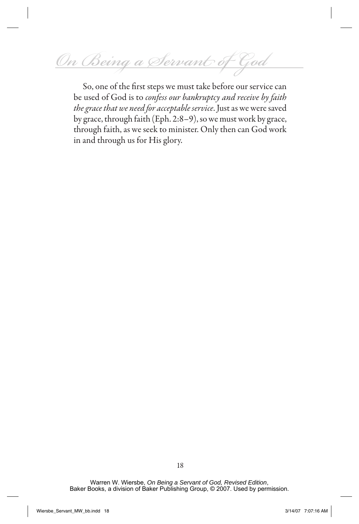*On Being a Servant of God*

So, one of the first steps we must take before our service can be used of God is to *confess our bankruptcy and receive by faith the grace that we need for acceptable service*. Just as we were saved by grace, through faith (Eph. 2:8–9), so we must work by grace, through faith, as we seek to minister. Only then can God work in and through us for His glory.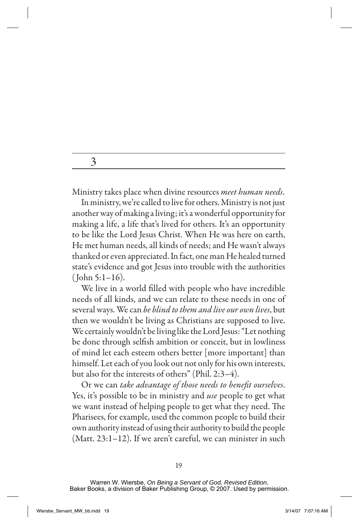3

Ministry takes place when divine resources *meet human needs*.

In ministry, we're called to live for others. Ministry is not just another way of making a living; it's a wonderful opportunity for making a life, a life that's lived for others. It's an opportunity to be like the Lord Jesus Christ. When He was here on earth, He met human needs, all kinds of needs; and He wasn't always thanked or even appreciated. In fact, one man He healed turned state's evidence and got Jesus into trouble with the authorities ( John 5:1–16).

We live in a world filled with people who have incredible needs of all kinds, and we can relate to these needs in one of several ways. We can *be blind to them and live our own lives*, but then we wouldn't be living as Christians are supposed to live. We certainly wouldn't be living like the Lord Jesus: "Let nothing be done through selfish ambition or conceit, but in lowliness of mind let each esteem others better [more important] than himself. Let each of you look out not only for his own interests, but also for the interests of others" (Phil. 2:3–4).

Or we can *take advantage of those needs to benefit ourselves*. Yes, it's possible to be in ministry and *use* people to get what we want instead of helping people to get what they need. The Pharisees, for example, used the common people to build their own authority instead of using their authority to build the people (Matt. 23:1–12). If we aren't careful, we can minister in such

Warren W. Wiersbe, *On Being a Servant of God, Revised Edition*, Baker Books, a division of Baker Publishing Group, © 2007. Used by permission.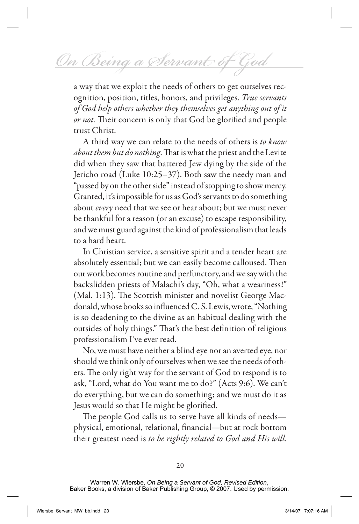a way that we exploit the needs of others to get ourselves recognition, position, titles, honors, and privileges. *True servants of God help others whether they themselves get anything out of it or not.* Their concern is only that God be glorified and people trust Christ.

A third way we can relate to the needs of others is *to know about them but do nothing*. That is what the priest and the Levite did when they saw that battered Jew dying by the side of the Jericho road (Luke 10:25–37). Both saw the needy man and "passed by on the other side" instead of stopping to show mercy. Granted, it's impossible for us as God's servants to do something about *every* need that we see or hear about; but we must never be thankful for a reason (or an excuse) to escape responsibility, and we must guard against the kind of professionalism that leads to a hard heart.

In Christian service, a sensitive spirit and a tender heart are absolutely essential; but we can easily become calloused. Then our work becomes routine and perfunctory, and we say with the backslidden priests of Malachi's day, "Oh, what a weariness!" (Mal. 1:13). The Scottish minister and novelist George Macdonald, whose books so influenced C. S. Lewis, wrote, "Nothing is so deadening to the divine as an habitual dealing with the outsides of holy things." That's the best definition of religious professionalism I've ever read.

No, we must have neither a blind eye nor an averted eye, nor should we think only of ourselves when we see the needs of others. The only right way for the servant of God to respond is to ask, "Lord, what do You want me to do?" (Acts 9:6). We can't do everything, but we can do something; and we must do it as Jesus would so that He might be glorified.

The people God calls us to serve have all kinds of needs physical, emotional, relational, financial—but at rock bottom their greatest need is *to be rightly related to God and His will*.

Warren W. Wiersbe, *On Being a Servant of God, Revised Edition*, Baker Books, a division of Baker Publishing Group, © 2007. Used by permission.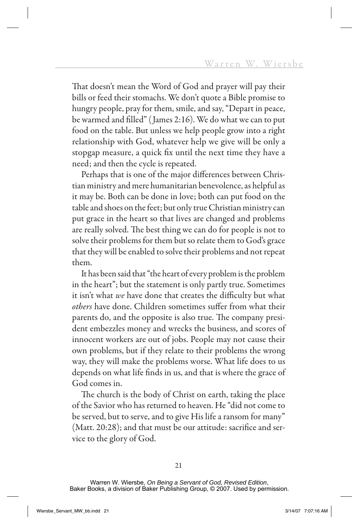That doesn't mean the Word of God and prayer will pay their bills or feed their stomachs. We don't quote a Bible promise to hungry people, pray for them, smile, and say, "Depart in peace, be warmed and filled" ( James 2:16). We do what we can to put food on the table. But unless we help people grow into a right relationship with God, whatever help we give will be only a stopgap measure, a quick fix until the next time they have a need; and then the cycle is repeated.

Perhaps that is one of the major differences between Christian ministry and mere humanitarian benevolence, as helpful as it may be. Both can be done in love; both can put food on the table and shoes on the feet; but only true Christian ministry can put grace in the heart so that lives are changed and problems are really solved. The best thing we can do for people is not to solve their problems for them but so relate them to God's grace that they will be enabled to solve their problems and not repeat them.

It has been said that "the heart of every problem is the problem in the heart"; but the statement is only partly true. Sometimes it isn't what *we* have done that creates the difficulty but what *others* have done. Children sometimes suffer from what their parents do, and the opposite is also true. The company president embezzles money and wrecks the business, and scores of innocent workers are out of jobs. People may not cause their own problems, but if they relate to their problems the wrong way, they will make the problems worse. What life does to us depends on what life finds in us, and that is where the grace of God comes in.

The church is the body of Christ on earth, taking the place of the Savior who has returned to heaven. He "did not come to be served, but to serve, and to give His life a ransom for many" (Matt. 20:28); and that must be our attitude: sacrifice and service to the glory of God.

Warren W. Wiersbe, *On Being a Servant of God, Revised Edition*, Baker Books, a division of Baker Publishing Group, © 2007. Used by permission.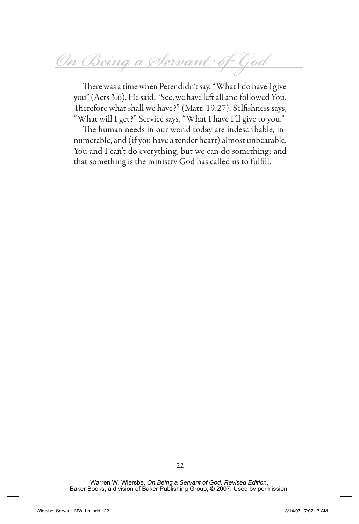*On Being a Servant of God*

There was a time when Peter didn't say, "What I do have I give you" (Acts 3:6). He said, "See, we have left all and followed You. Therefore what shall we have?" (Matt. 19:27). Selfishness says, "What will I get?" Service says, "What I have I'll give to you."

The human needs in our world today are indescribable, innumerable, and (if you have a tender heart) almost unbearable. You and I can't do everything, but we can do something; and that something is the ministry God has called us to fulfill.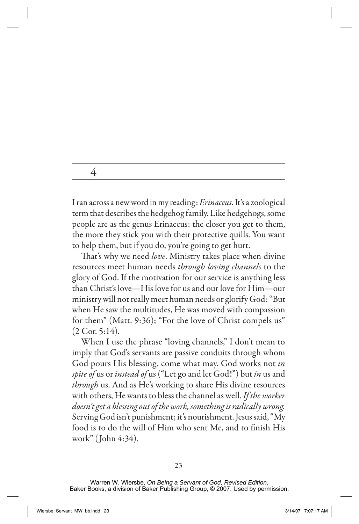4

I ran across a new word in my reading: *Erinaceus*. It's a zoological term that describes the hedgehog family. Like hedgehogs, some people are as the genus Erinaceus: the closer you get to them, the more they stick you with their protective quills. You want to help them, but if you do, you're going to get hurt.

That's why we need *love*. Ministry takes place when divine resources meet human needs *through loving channels* to the glory of God. If the motivation for our service is anything less than Christ's love—His love for us and our love for Him—our ministry will not really meet human needs or glorify God: "But when He saw the multitudes, He was moved with compassion for them" (Matt. 9:36); "For the love of Christ compels us" (2 Cor. 5:14).

When I use the phrase "loving channels," I don't mean to imply that God's servants are passive conduits through whom God pours His blessing, come what may. God works not *in spite of* us or *instead of* us ("Let go and let God!") but *in* us and *through* us. And as He's working to share His divine resources with others, He wants to bless the channel as well. *If the worker doesn't get a blessing out of the work, something is radically wrong.* Serving God isn't punishment; it's nourishment. Jesus said, "My food is to do the will of Him who sent Me, and to finish His work" ( John 4:34).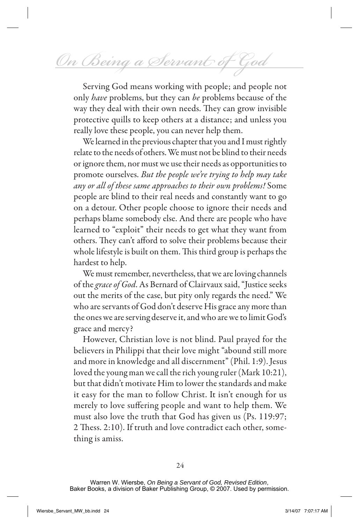Serving God means working with people; and people not only *have* problems, but they can *be* problems because of the way they deal with their own needs. They can grow invisible protective quills to keep others at a distance; and unless you really love these people, you can never help them.

We learned in the previous chapter that you and I must rightly relate to the needs of others. We must not be blind to their needs or ignore them, nor must we use their needs as opportunities to promote ourselves. *But the people we're trying to help may take any or all of these same approaches to their own problems!* Some people are blind to their real needs and constantly want to go on a detour. Other people choose to ignore their needs and perhaps blame somebody else. And there are people who have learned to "exploit" their needs to get what they want from others. They can't afford to solve their problems because their whole lifestyle is built on them. This third group is perhaps the hardest to help.

We must remember, nevertheless, that we are loving channels of the *grace of God*. As Bernard of Clairvaux said, "Justice seeks out the merits of the case, but pity only regards the need." We who are servants of God don't deserve His grace any more than the ones we are serving deserve it, and who are we to limit God's grace and mercy?

However, Christian love is not blind. Paul prayed for the believers in Philippi that their love might "abound still more and more in knowledge and all discernment" (Phil. 1:9). Jesus loved the young man we call the rich young ruler (Mark 10:21), but that didn't motivate Him to lower the standards and make it easy for the man to follow Christ. It isn't enough for us merely to love suffering people and want to help them. We must also love the truth that God has given us (Ps. 119:97; 2 Thess. 2:10). If truth and love contradict each other, something is amiss.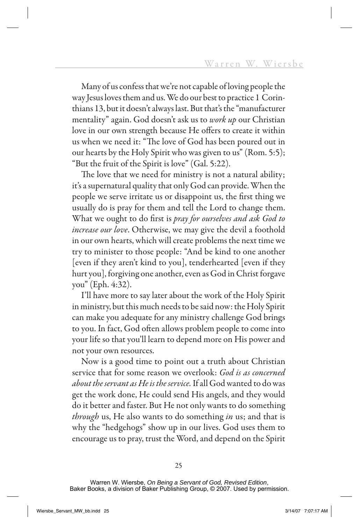Many of us confess that we're not capable of loving people the way Jesus loves them and us. We do our best to practice 1 Corinthians 13, but it doesn't always last. But that's the "manufacturer mentality" again. God doesn't ask us to *work up* our Christian love in our own strength because He offers to create it within us when we need it: "The love of God has been poured out in our hearts by the Holy Spirit who was given to us" (Rom. 5:5); "But the fruit of the Spirit is love" (Gal. 5:22).

The love that we need for ministry is not a natural ability; it's a supernatural quality that only God can provide. When the people we serve irritate us or disappoint us, the first thing we usually do is pray for them and tell the Lord to change them. What we ought to do first is *pray for ourselves and ask God to increase our love*. Otherwise, we may give the devil a foothold in our own hearts, which will create problems the next time we try to minister to those people: "And be kind to one another [even if they aren't kind to you], tenderhearted [even if they hurt you], forgiving one another, even as God in Christ forgave you" (Eph. 4:32).

I'll have more to say later about the work of the Holy Spirit in ministry, but this much needs to be said now: the Holy Spirit can make you adequate for any ministry challenge God brings to you. In fact, God often allows problem people to come into your life so that you'll learn to depend more on His power and not your own resources.

Now is a good time to point out a truth about Christian service that for some reason we overlook: *God is as concerned about the servant as He is the service.* If all God wanted to do was get the work done, He could send His angels, and they would do it better and faster. But He not only wants to do something *through* us, He also wants to do something *in* us; and that is why the "hedgehogs" show up in our lives. God uses them to encourage us to pray, trust the Word, and depend on the Spirit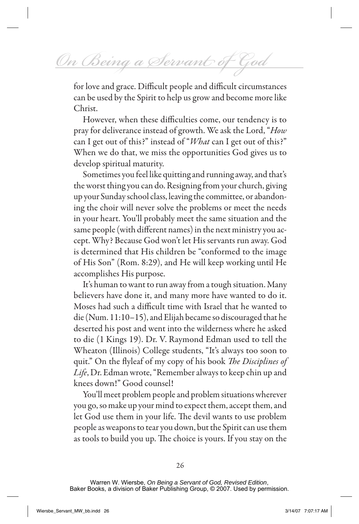*On Being a Servant of God*

for love and grace. Difficult people and difficult circumstances can be used by the Spirit to help us grow and become more like Christ.

However, when these difficulties come, our tendency is to pray for deliverance instead of growth. We ask the Lord, "*How* can I get out of this?" instead of "*What* can I get out of this?" When we do that, we miss the opportunities God gives us to develop spiritual maturity.

Sometimes you feel like quitting and running away, and that's the worst thing you can do. Resigning from your church, giving up your Sunday school class, leaving the committee, or abandoning the choir will never solve the problems or meet the needs in your heart. You'll probably meet the same situation and the same people (with different names) in the next ministry you accept. Why? Because God won't let His servants run away. God is determined that His children be "conformed to the image of His Son" (Rom. 8:29), and He will keep working until He accomplishes His purpose.

It's human to want to run away from a tough situation. Many believers have done it, and many more have wanted to do it. Moses had such a difficult time with Israel that he wanted to die (Num. 11:10–15), and Elijah became so discouraged that he deserted his post and went into the wilderness where he asked to die (1 Kings 19). Dr. V. Raymond Edman used to tell the Wheaton (Illinois) College students, "It's always too soon to quit." On the flyleaf of my copy of his book *The Disciplines of Life*, Dr. Edman wrote, "Remember always to keep chin up and knees down!" Good counsel!

You'll meet problem people and problem situations wherever you go, so make up your mind to expect them, accept them, and let God use them in your life. The devil wants to use problem people as weapons to tear you down, but the Spirit can use them as tools to build you up. The choice is yours. If you stay on the

Warren W. Wiersbe, *On Being a Servant of God, Revised Edition*, Baker Books, a division of Baker Publishing Group, © 2007. Used by permission.